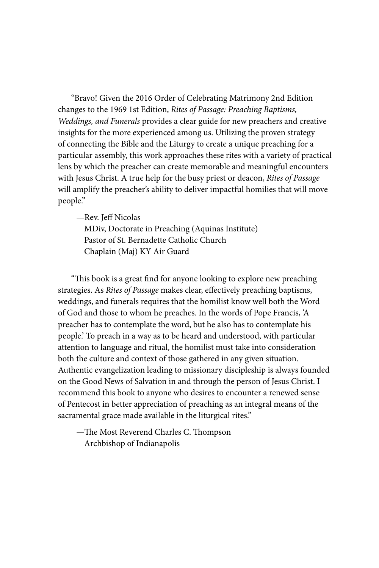"Bravo! Given the 2016 Order of Celebrating Matrimony 2nd Edition changes to the 1969 1st Edition, *Rites of Passage: Preaching Baptisms, Weddings, and Funerals* provides a clear guide for new preachers and creative insights for the more experienced among us. Utilizing the proven strategy of connecting the Bible and the Liturgy to create a unique preaching for a particular assembly, this work approaches these rites with a variety of practical lens by which the preacher can create memorable and meaningful encounters with Jesus Christ. A true help for the busy priest or deacon, *Rites of Passage* will amplify the preacher's ability to deliver impactful homilies that will move people."

—Rev. Jeff Nicolas

MDiv, Doctorate in Preaching (Aquinas Institute) Pastor of St. Bernadette Catholic Church Chaplain (Maj) KY Air Guard

"This book is a great find for anyone looking to explore new preaching strategies. As *Rites of Passage* makes clear, effectively preaching baptisms, weddings, and funerals requires that the homilist know well both the Word of God and those to whom he preaches. In the words of Pope Francis, 'A preacher has to contemplate the word, but he also has to contemplate his people.' To preach in a way as to be heard and understood, with particular attention to language and ritual, the homilist must take into consideration both the culture and context of those gathered in any given situation. Authentic evangelization leading to missionary discipleship is always founded on the Good News of Salvation in and through the person of Jesus Christ. I recommend this book to anyone who desires to encounter a renewed sense of Pentecost in better appreciation of preaching as an integral means of the sacramental grace made available in the liturgical rites."

—The Most Reverend Charles C. Thompson Archbishop of Indianapolis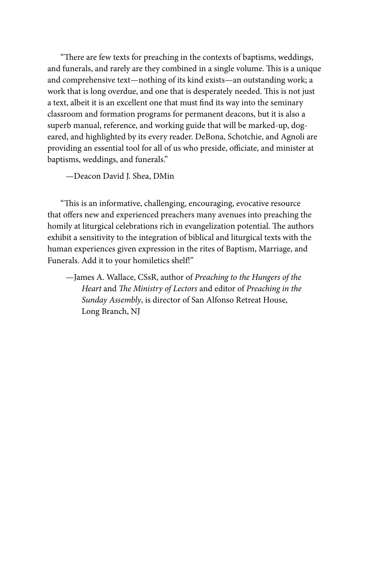"There are few texts for preaching in the contexts of baptisms, weddings, and funerals, and rarely are they combined in a single volume. This is a unique and comprehensive text—nothing of its kind exists—an outstanding work; a work that is long overdue, and one that is desperately needed. This is not just a text, albeit it is an excellent one that must find its way into the seminary classroom and formation programs for permanent deacons, but it is also a superb manual, reference, and working guide that will be marked-up, dogeared, and highlighted by its every reader. DeBona, Schotchie, and Agnoli are providing an essential tool for all of us who preside, officiate, and minister at baptisms, weddings, and funerals."

—Deacon David J. Shea, DMin

"This is an informative, challenging, encouraging, evocative resource that offers new and experienced preachers many avenues into preaching the homily at liturgical celebrations rich in evangelization potential. The authors exhibit a sensitivity to the integration of biblical and liturgical texts with the human experiences given expression in the rites of Baptism, Marriage, and Funerals. Add it to your homiletics shelf!"

—James A. Wallace, CSsR, author of *Preaching to the Hungers of the Heart* and *The Ministry of Lectors* and editor of *Preaching in the Sunday Assembly*, is director of San Alfonso Retreat House, Long Branch, NJ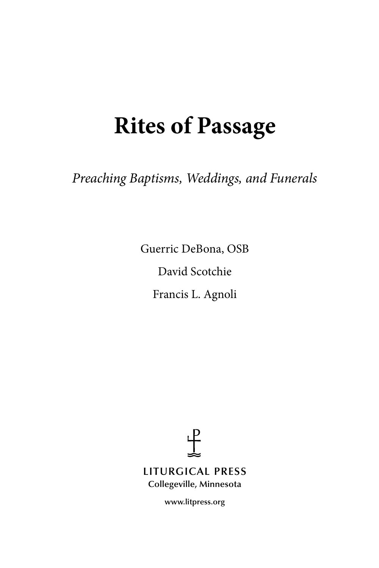# **Rites of Passage**

*Preaching Baptisms, Weddings, and Funerals*

Guerric DeBona, OSB David Scotchie Francis L. Agnoli



**www.litpress.org**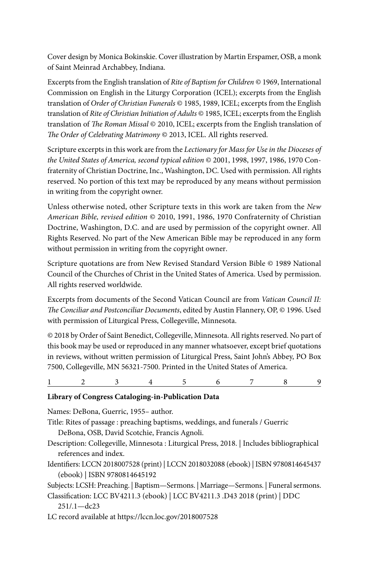Cover design by Monica Bokinskie. Cover illustration by Martin Erspamer, OSB, a monk of Saint Meinrad Archabbey, Indiana.

Excerpts from the English translation of *Rite of Baptism for Children* © 1969, International Commission on English in the Liturgy Corporation (ICEL); excerpts from the English translation of *Order of Christian Funerals* © 1985, 1989, ICEL; excerpts from the English translation of *Rite of Christian Initiation of Adults* © 1985, ICEL; excerpts from the English translation of *The Roman Missal* © 2010, ICEL; excerpts from the English translation of *The Order of Celebrating Matrimony* © 2013, ICEL. All rights reserved.

Scripture excerpts in this work are from the *Lectionary for Mass for Use in the Dioceses of the United States of America, second typical edition* © 2001, 1998, 1997, 1986, 1970 Confraternity of Christian Doctrine, Inc., Washington, DC. Used with permission. All rights reserved. No portion of this text may be reproduced by any means without permission in writing from the copyright owner.

Unless otherwise noted, other Scripture texts in this work are taken from the *New American Bible, revised edition* © 2010, 1991, 1986, 1970 Confraternity of Christian Doctrine, Washington, D.C. and are used by permission of the copyright owner. All Rights Reserved. No part of the New American Bible may be reproduced in any form without permission in writing from the copyright owner.

Scripture quotations are from New Revised Standard Version Bible © 1989 National Council of the Churches of Christ in the United States of America. Used by permission. All rights reserved worldwide.

Excerpts from documents of the Second Vatican Council are from *Vatican Council II: The Conciliar and Postconciliar Documents*, edited by Austin Flannery, OP, © 1996. Used with permission of Liturgical Press, Collegeville, Minnesota.

© 2018 by Order of Saint Benedict, Collegeville, Minnesota. All rights reserved. No part of this book may be used or reproduced in any manner whatsoever, except brief quotations in reviews, without written permission of Liturgical Press, Saint John's Abbey, PO Box 7500, Collegeville, MN 56321-7500. Printed in the United States of America.

1 2 3 4 5 6 7 8 9

#### **Library of Congress Cataloging-in-Publication Data**

Names: DeBona, Guerric, 1955– author. Title: Rites of passage : preaching baptisms, weddings, and funerals / Guerric DeBona, OSB, David Scotchie, Francis Agnoli. Description: Collegeville, Minnesota : Liturgical Press, 2018. | Includes bibliographical references and index. Identifiers: LCCN 2018007528 (print) | LCCN 2018032088 (ebook) | ISBN 9780814645437 (ebook) | ISBN 9780814645192 Subjects: LCSH: Preaching. | Baptism—Sermons. | Marriage—Sermons. | Funeral sermons. Classification: LCC BV4211.3 (ebook) | LCC BV4211.3 .D43 2018 (print) | DDC 251/.1—dc23 LC record available at https://lccn.loc.gov/2018007528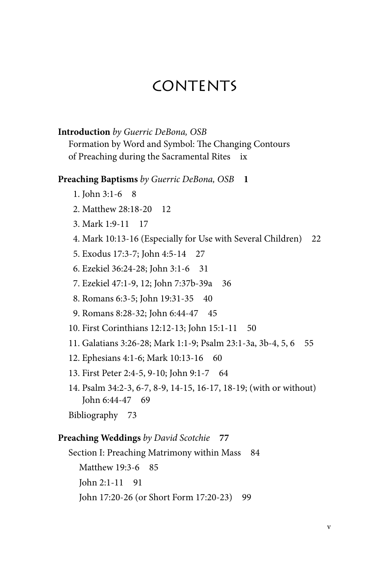# CONTENTS

#### **Introduction** *by Guerric DeBona, OSB*

Formation by Word and Symbol: The Changing Contours of Preaching during the Sacramental Rites ix

# **Preaching Baptisms** *by Guerric DeBona, OSB* **1**

- 1. John 3:1-6 8
- 2. Matthew 28:18-20 12
- 3. Mark 1:9-11 17
- 4. Mark 10:13-16 (Especially for Use with Several Children) 22
- 5. Exodus 17:3-7; John 4:5-14 27
- 6. Ezekiel 36:24-28; John 3:1-6 31
- 7. Ezekiel 47:1-9, 12; John 7:37b-39a 36
- 8. Romans 6:3-5; John 19:31-35 40
- 9. Romans 8:28-32; John 6:44-47 45
- 10. First Corinthians 12:12-13; John 15:1-11 50
- 11. Galatians 3:26-28; Mark 1:1-9; Psalm 23:1-3a, 3b-4, 5, 6 55
- 12. Ephesians 4:1-6; Mark 10:13-16 60
- 13. First Peter 2:4-5, 9-10; John 9:1-7 64
- 14. Psalm 34:2-3, 6-7, 8-9, 14-15, 16-17, 18-19; (with or without) John 6:44-47 69
- Bibliography 73

## **Preaching Weddings** *by David Scotchie* **77**

Section I: Preaching Matrimony within Mass 84 Matthew 19:3-6 85 John 2:1-11 91 John 17:20-26 (or Short Form 17:20-23) 99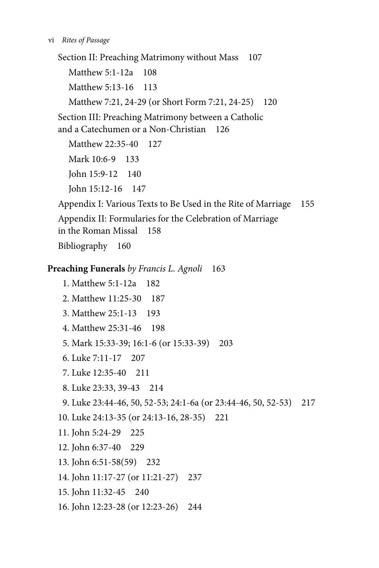Section II: Preaching Matrimony without Mass 107 Matthew 5:1-12a 108 Matthew 5:13-16 113 Matthew 7:21, 24-29 (or Short Form 7:21, 24-25) 120 Section III: Preaching Matrimony between a Catholic and a Catechumen or a Non-Christian 126 Matthew 22:35-40 127

Mark 10:6-9 133 John 15:9-12 140 John 15:12-16 147

Appendix I: Various Texts to Be Used in the Rite of Marriage 155 Appendix II: Formularies for the Celebration of Marriage in the Roman Missal 158 Bibliography 160

# **Preaching Funerals** *by Francis L. Agnoli* 163

1. Matthew 5:1-12a 182 2. Matthew 11:25-30 187 3. Matthew 25:1-13 193 4. Matthew 25:31-46 198 5. Mark 15:33-39; 16:1-6 (or 15:33-39) 203 6. Luke 7:11-17 207 7. Luke 12:35-40 211 8. Luke 23:33, 39-43 214 9. Luke 23:44-46, 50, 52-53; 24:1-6a (or 23:44-46, 50, 52-53) 217 10. Luke 24:13-35 (or 24:13-16, 28-35) 221 11. John 5:24-29 225 12. John 6:37-40 229 13. John 6:51-58(59) 232 14. John 11:17-27 (or 11:21-27) 237 15. John 11:32-45 240 16. John 12:23-28 (or 12:23-26) 244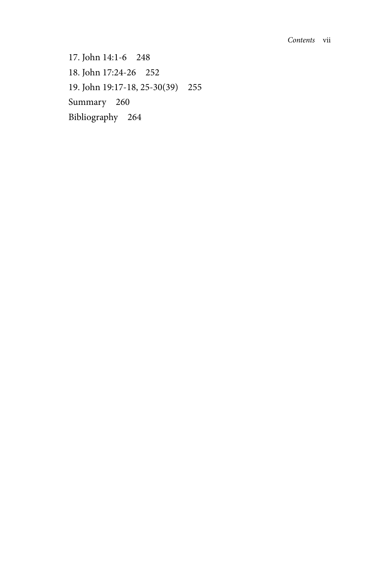17. John 14:1-6 248 18. John 17:24-26 252 19. John 19:17-18, 25-30(39) 255 Summary 260 Bibliography 264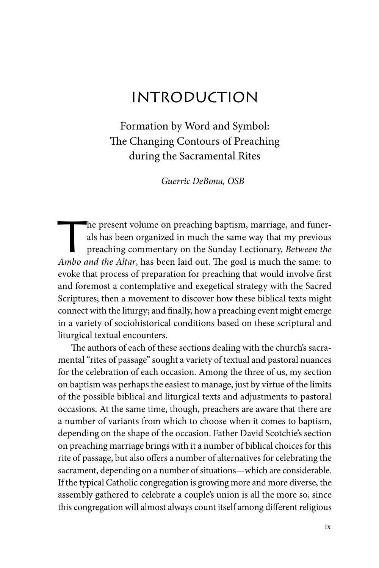# **INTRODUCTION**

Formation by Word and Symbol: The Changing Contours of Preaching during the Sacramental Rites

*Guerric DeBona, OSB*

The present volume on preaching baptism, marriage, and funer-<br>als has been organized in much the same way that my previous<br>preaching commentary on the Sunday Lectionary, *Between the* als has been organized in much the same way that my previous preaching commentary on the Sunday Lectionary, *Between the Ambo and the Altar*, has been laid out. The goal is much the same: to evoke that process of preparation for preaching that would involve first and foremost a contemplative and exegetical strategy with the Sacred Scriptures; then a movement to discover how these biblical texts might connect with the liturgy; and finally, how a preaching event might emerge in a variety of sociohistorical conditions based on these scriptural and liturgical textual encounters.

The authors of each of these sections dealing with the church's sacramental "rites of passage" sought a variety of textual and pastoral nuances for the celebration of each occasion. Among the three of us, my section on baptism was perhaps the easiest to manage, just by virtue of the limits of the possible biblical and liturgical texts and adjustments to pastoral occasions. At the same time, though, preachers are aware that there are a number of variants from which to choose when it comes to baptism, depending on the shape of the occasion. Father David Scotchie's section on preaching marriage brings with it a number of biblical choices for this rite of passage, but also offers a number of alternatives for celebrating the sacrament, depending on a number of situations—which are considerable. If the typical Catholic congregation is growing more and more diverse, the assembly gathered to celebrate a couple's union is all the more so, since this congregation will almost always count itself among different religious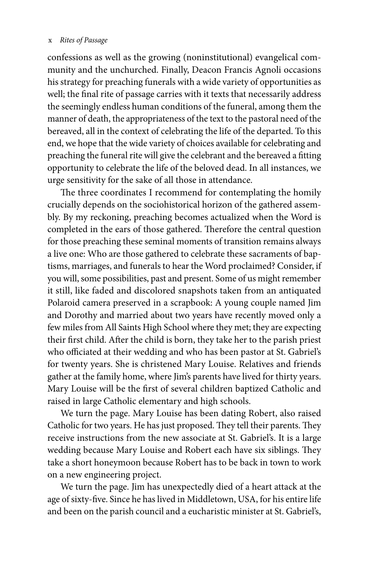#### x *Rites of Passage*

confessions as well as the growing (noninstitutional) evangelical community and the unchurched. Finally, Deacon Francis Agnoli occasions his strategy for preaching funerals with a wide variety of opportunities as well; the final rite of passage carries with it texts that necessarily address the seemingly endless human conditions of the funeral, among them the manner of death, the appropriateness of the text to the pastoral need of the bereaved, all in the context of celebrating the life of the departed. To this end, we hope that the wide variety of choices available for celebrating and preaching the funeral rite will give the celebrant and the bereaved a fitting opportunity to celebrate the life of the beloved dead. In all instances, we urge sensitivity for the sake of all those in attendance.

The three coordinates I recommend for contemplating the homily crucially depends on the sociohistorical horizon of the gathered assembly. By my reckoning, preaching becomes actualized when the Word is completed in the ears of those gathered. Therefore the central question for those preaching these seminal moments of transition remains always a live one: Who are those gathered to celebrate these sacraments of baptisms, marriages, and funerals to hear the Word proclaimed? Consider, if you will, some possibilities, past and present. Some of us might remember it still, like faded and discolored snapshots taken from an antiquated Polaroid camera preserved in a scrapbook: A young couple named Jim and Dorothy and married about two years have recently moved only a few miles from All Saints High School where they met; they are expecting their first child. After the child is born, they take her to the parish priest who officiated at their wedding and who has been pastor at St. Gabriel's for twenty years. She is christened Mary Louise. Relatives and friends gather at the family home, where Jim's parents have lived for thirty years. Mary Louise will be the first of several children baptized Catholic and raised in large Catholic elementary and high schools.

We turn the page. Mary Louise has been dating Robert, also raised Catholic for two years. He has just proposed. They tell their parents. They receive instructions from the new associate at St. Gabriel's. It is a large wedding because Mary Louise and Robert each have six siblings. They take a short honeymoon because Robert has to be back in town to work on a new engineering project.

We turn the page. Jim has unexpectedly died of a heart attack at the age of sixty-five. Since he has lived in Middletown, USA, for his entire life and been on the parish council and a eucharistic minister at St. Gabriel's,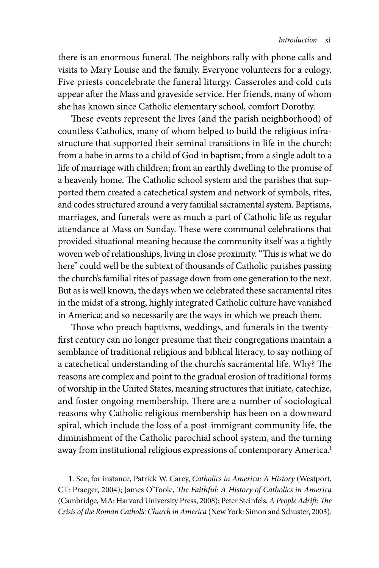there is an enormous funeral. The neighbors rally with phone calls and visits to Mary Louise and the family. Everyone volunteers for a eulogy. Five priests concelebrate the funeral liturgy. Casseroles and cold cuts appear after the Mass and graveside service. Her friends, many of whom she has known since Catholic elementary school, comfort Dorothy.

These events represent the lives (and the parish neighborhood) of countless Catholics, many of whom helped to build the religious infrastructure that supported their seminal transitions in life in the church: from a babe in arms to a child of God in baptism; from a single adult to a life of marriage with children; from an earthly dwelling to the promise of a heavenly home. The Catholic school system and the parishes that supported them created a catechetical system and network of symbols, rites, and codes structured around a very familial sacramental system. Baptisms, marriages, and funerals were as much a part of Catholic life as regular attendance at Mass on Sunday. These were communal celebrations that provided situational meaning because the community itself was a tightly woven web of relationships, living in close proximity. "This is what we do here" could well be the subtext of thousands of Catholic parishes passing the church's familial rites of passage down from one generation to the next. But as is well known, the days when we celebrated these sacramental rites in the midst of a strong, highly integrated Catholic culture have vanished in America; and so necessarily are the ways in which we preach them.

Those who preach baptisms, weddings, and funerals in the twentyfirst century can no longer presume that their congregations maintain a semblance of traditional religious and biblical literacy, to say nothing of a catechetical understanding of the church's sacramental life. Why? The reasons are complex and point to the gradual erosion of traditional forms of worship in the United States, meaning structures that initiate, catechize, and foster ongoing membership. There are a number of sociological reasons why Catholic religious membership has been on a downward spiral, which include the loss of a post-immigrant community life, the diminishment of the Catholic parochial school system, and the turning away from institutional religious expressions of contemporary America.<sup>1</sup>

1. See, for instance, Patrick W. Carey, *Catholics in America: A History* (Westport, CT: Praeger, 2004); James O'Toole, *The Faithful: A History of Catholics in America* (Cambridge, MA: Harvard University Press, 2008); Peter Steinfels, *A People Adrift: The Crisis of the Roman Catholic Church in America* (New York: Simon and Schuster, 2003).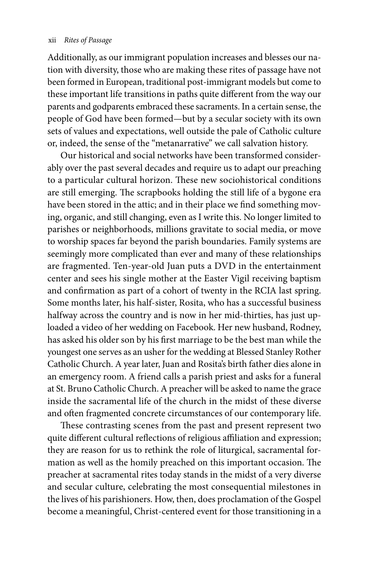Additionally, as our immigrant population increases and blesses our nation with diversity, those who are making these rites of passage have not been formed in European, traditional post-immigrant models but come to these important life transitions in paths quite different from the way our parents and godparents embraced these sacraments. In a certain sense, the people of God have been formed—but by a secular society with its own sets of values and expectations, well outside the pale of Catholic culture or, indeed, the sense of the "metanarrative" we call salvation history.

Our historical and social networks have been transformed considerably over the past several decades and require us to adapt our preaching to a particular cultural horizon. These new sociohistorical conditions are still emerging. The scrapbooks holding the still life of a bygone era have been stored in the attic; and in their place we find something moving, organic, and still changing, even as I write this. No longer limited to parishes or neighborhoods, millions gravitate to social media, or move to worship spaces far beyond the parish boundaries. Family systems are seemingly more complicated than ever and many of these relationships are fragmented. Ten-year-old Juan puts a DVD in the entertainment center and sees his single mother at the Easter Vigil receiving baptism and confirmation as part of a cohort of twenty in the RCIA last spring. Some months later, his half-sister, Rosita, who has a successful business halfway across the country and is now in her mid-thirties, has just uploaded a video of her wedding on Facebook. Her new husband, Rodney, has asked his older son by his first marriage to be the best man while the youngest one serves as an usher for the wedding at Blessed Stanley Rother Catholic Church. A year later, Juan and Rosita's birth father dies alone in an emergency room. A friend calls a parish priest and asks for a funeral at St. Bruno Catholic Church. A preacher will be asked to name the grace inside the sacramental life of the church in the midst of these diverse and often fragmented concrete circumstances of our contemporary life.

These contrasting scenes from the past and present represent two quite different cultural reflections of religious affiliation and expression; they are reason for us to rethink the role of liturgical, sacramental formation as well as the homily preached on this important occasion. The preacher at sacramental rites today stands in the midst of a very diverse and secular culture, celebrating the most consequential milestones in the lives of his parishioners. How, then, does proclamation of the Gospel become a meaningful, Christ-centered event for those transitioning in a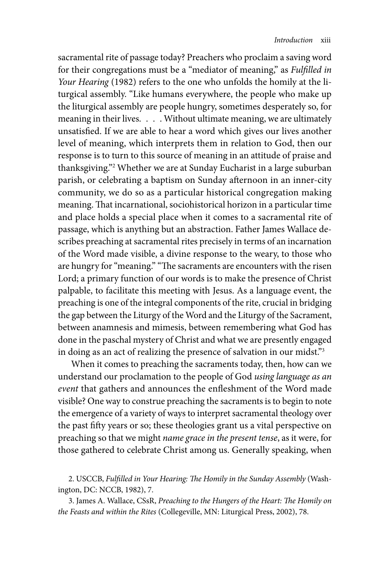sacramental rite of passage today? Preachers who proclaim a saving word for their congregations must be a "mediator of meaning," as *Fulfilled in Your Hearing* (1982) refers to the one who unfolds the homily at the liturgical assembly. "Like humans everywhere, the people who make up the liturgical assembly are people hungry, sometimes desperately so, for meaning in their lives. . . . Without ultimate meaning, we are ultimately unsatisfied. If we are able to hear a word which gives our lives another level of meaning, which interprets them in relation to God, then our response is to turn to this source of meaning in an attitude of praise and thanksgiving."2 Whether we are at Sunday Eucharist in a large suburban parish, or celebrating a baptism on Sunday afternoon in an inner-city community, we do so as a particular historical congregation making meaning. That incarnational, sociohistorical horizon in a particular time and place holds a special place when it comes to a sacramental rite of passage, which is anything but an abstraction. Father James Wallace describes preaching at sacramental rites precisely in terms of an incarnation of the Word made visible, a divine response to the weary, to those who are hungry for "meaning." "The sacraments are encounters with the risen Lord; a primary function of our words is to make the presence of Christ palpable, to facilitate this meeting with Jesus. As a language event, the preaching is one of the integral components of the rite, crucial in bridging the gap between the Liturgy of the Word and the Liturgy of the Sacrament, between anamnesis and mimesis, between remembering what God has done in the paschal mystery of Christ and what we are presently engaged in doing as an act of realizing the presence of salvation in our midst."3

When it comes to preaching the sacraments today, then, how can we understand our proclamation to the people of God *using language as an event* that gathers and announces the enfleshment of the Word made visible? One way to construe preaching the sacraments is to begin to note the emergence of a variety of ways to interpret sacramental theology over the past fifty years or so; these theologies grant us a vital perspective on preaching so that we might *name grace in the present tense*, as it were, for those gathered to celebrate Christ among us. Generally speaking, when

2. USCCB, *Fulfilled in Your Hearing: The Homily in the Sunday Assembly* (Washington, DC: NCCB, 1982), 7.

3. James A. Wallace, CSsR, *Preaching to the Hungers of the Heart: The Homily on the Feasts and within the Rites* (Collegeville, MN: Liturgical Press, 2002), 78.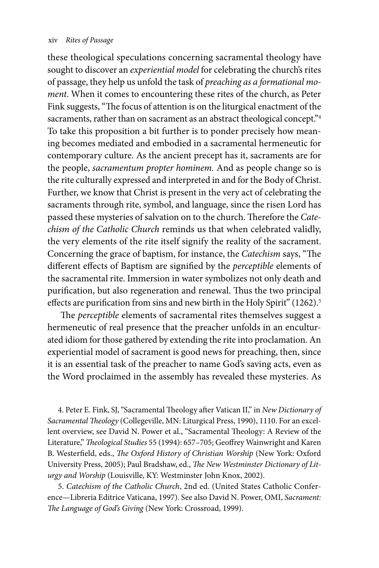these theological speculations concerning sacramental theology have sought to discover an *experiential model* for celebrating the church's rites of passage, they help us unfold the task of *preaching as a formational moment*. When it comes to encountering these rites of the church, as Peter Fink suggests, "The focus of attention is on the liturgical enactment of the sacraments, rather than on sacrament as an abstract theological concept."<sup>4</sup> To take this proposition a bit further is to ponder precisely how meaning becomes mediated and embodied in a sacramental hermeneutic for contemporary culture. As the ancient precept has it, sacraments are for the people, *sacramentum propter hominem.* And as people change so is the rite culturally expressed and interpreted in and for the Body of Christ. Further, we know that Christ is present in the very act of celebrating the sacraments through rite, symbol, and language, since the risen Lord has passed these mysteries of salvation on to the church. Therefore the *Catechism of the Catholic Church* reminds us that when celebrated validly, the very elements of the rite itself signify the reality of the sacrament. Concerning the grace of baptism, for instance, the *Catechism* says, "The different effects of Baptism are signified by the *perceptible* elements of the sacramental rite. Immersion in water symbolizes not only death and purification, but also regeneration and renewal. Thus the two principal effects are purification from sins and new birth in the Holy Spirit" (1262).<sup>5</sup>

The *perceptible* elements of sacramental rites themselves suggest a hermeneutic of real presence that the preacher unfolds in an enculturated idiom for those gathered by extending the rite into proclamation. An experiential model of sacrament is good news for preaching, then, since it is an essential task of the preacher to name God's saving acts, even as the Word proclaimed in the assembly has revealed these mysteries. As

4. Peter E. Fink, SJ, "Sacramental Theology after Vatican II," in *New Dictionary of Sacramental Theology* (Collegeville, MN: Liturgical Press, 1990), 1110. For an excellent overview, see David N. Power et al., "Sacramental Theology: A Review of the Literature," *Theological Studies* 55 (1994): 657–705; Geoffrey Wainwright and Karen B. Westerfield, eds., *The Oxford History of Christian Worship* (New York: Oxford University Press, 2005); Paul Bradshaw, ed., *The New Westminster Dictionary of Liturgy and Worship* (Louisville, KY: Westminster John Knox, 2002).

5. *Catechism of the Catholic Church*, 2nd ed. (United States Catholic Conference—Libreria Editrice Vaticana, 1997). See also David N. Power, OMI, *Sacrament: The Language of God's Giving* (New York: Crossroad, 1999).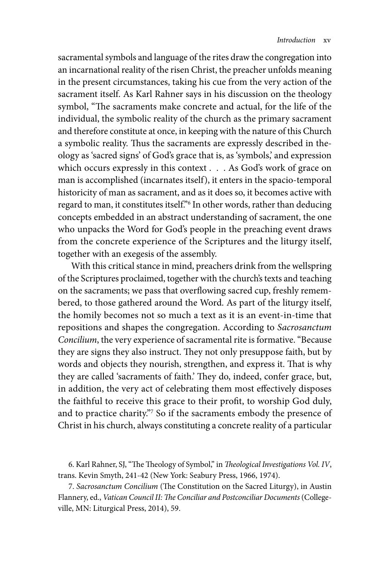sacramental symbols and language of the rites draw the congregation into an incarnational reality of the risen Christ, the preacher unfolds meaning in the present circumstances, taking his cue from the very action of the sacrament itself. As Karl Rahner says in his discussion on the theology symbol, "The sacraments make concrete and actual, for the life of the individual, the symbolic reality of the church as the primary sacrament and therefore constitute at once, in keeping with the nature of this Church a symbolic reality. Thus the sacraments are expressly described in theology as 'sacred signs' of God's grace that is, as 'symbols,' and expression which occurs expressly in this context . . . As God's work of grace on man is accomplished (incarnates itself), it enters in the spacio-temporal historicity of man as sacrament, and as it does so, it becomes active with regard to man, it constitutes itself."6 In other words, rather than deducing concepts embedded in an abstract understanding of sacrament, the one who unpacks the Word for God's people in the preaching event draws from the concrete experience of the Scriptures and the liturgy itself, together with an exegesis of the assembly.

With this critical stance in mind, preachers drink from the wellspring of the Scriptures proclaimed, together with the church's texts and teaching on the sacraments; we pass that overflowing sacred cup, freshly remembered, to those gathered around the Word. As part of the liturgy itself, the homily becomes not so much a text as it is an event-in-time that repositions and shapes the congregation. According to *Sacrosanctum Concilium*, the very experience of sacramental rite is formative. "Because they are signs they also instruct. They not only presuppose faith, but by words and objects they nourish, strengthen, and express it. That is why they are called 'sacraments of faith.' They do, indeed, confer grace, but, in addition, the very act of celebrating them most effectively disposes the faithful to receive this grace to their profit, to worship God duly, and to practice charity."7 So if the sacraments embody the presence of Christ in his church, always constituting a concrete reality of a particular

6. Karl Rahner, SJ, "The Theology of Symbol," in *Theological Investigations Vol. IV*, trans. Kevin Smyth, 241-42 (New York: Seabury Press, 1966, 1974).

7. *Sacrosanctum Concilium* (The Constitution on the Sacred Liturgy), in Austin Flannery, ed., *Vatican Council II: The Conciliar and Postconciliar Documents* (Collegeville, MN: Liturgical Press, 2014), 59.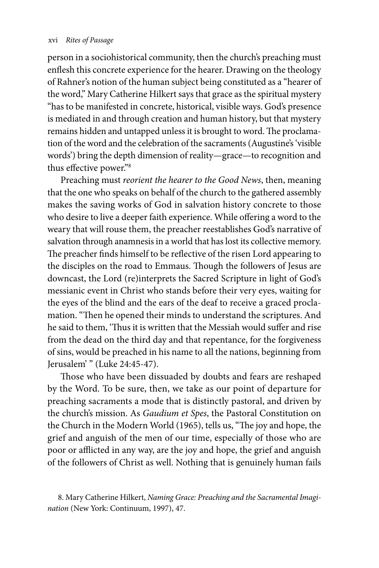person in a sociohistorical community, then the church's preaching must enflesh this concrete experience for the hearer. Drawing on the theology of Rahner's notion of the human subject being constituted as a "hearer of the word," Mary Catherine Hilkert says that grace as the spiritual mystery "has to be manifested in concrete, historical, visible ways. God's presence is mediated in and through creation and human history, but that mystery remains hidden and untapped unless it is brought to word. The proclamation of the word and the celebration of the sacraments (Augustine's 'visible words') bring the depth dimension of reality—grace—to recognition and thus effective power."8

Preaching must *reorient the hearer to the Good News*, then, meaning that the one who speaks on behalf of the church to the gathered assembly makes the saving works of God in salvation history concrete to those who desire to live a deeper faith experience. While offering a word to the weary that will rouse them, the preacher reestablishes God's narrative of salvation through anamnesis in a world that has lost its collective memory. The preacher finds himself to be reflective of the risen Lord appearing to the disciples on the road to Emmaus. Though the followers of Jesus are downcast, the Lord (re)interprets the Sacred Scripture in light of God's messianic event in Christ who stands before their very eyes, waiting for the eyes of the blind and the ears of the deaf to receive a graced proclamation. "Then he opened their minds to understand the scriptures. And he said to them, 'Thus it is written that the Messiah would suffer and rise from the dead on the third day and that repentance, for the forgiveness of sins, would be preached in his name to all the nations, beginning from Jerusalem' " (Luke 24:45-47).

Those who have been dissuaded by doubts and fears are reshaped by the Word. To be sure, then, we take as our point of departure for preaching sacraments a mode that is distinctly pastoral, and driven by the church's mission. As *Gaudium et Spes*, the Pastoral Constitution on the Church in the Modern World (1965), tells us, "The joy and hope, the grief and anguish of the men of our time, especially of those who are poor or afflicted in any way, are the joy and hope, the grief and anguish of the followers of Christ as well. Nothing that is genuinely human fails

<sup>8.</sup> Mary Catherine Hilkert, *Naming Grace: Preaching and the Sacramental Imagination* (New York: Continuum, 1997), 47.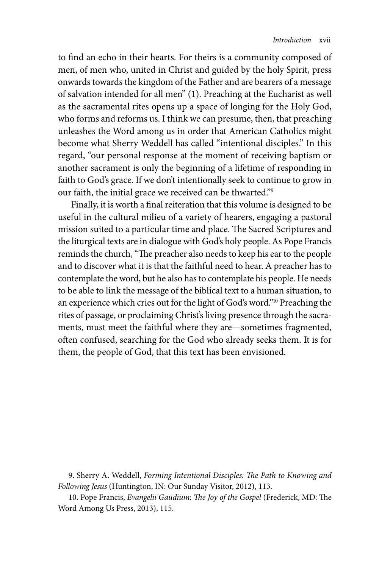to find an echo in their hearts. For theirs is a community composed of men, of men who, united in Christ and guided by the holy Spirit, press onwards towards the kingdom of the Father and are bearers of a message of salvation intended for all men" (1). Preaching at the Eucharist as well as the sacramental rites opens up a space of longing for the Holy God, who forms and reforms us. I think we can presume, then, that preaching unleashes the Word among us in order that American Catholics might become what Sherry Weddell has called "intentional disciples." In this regard, "our personal response at the moment of receiving baptism or another sacrament is only the beginning of a lifetime of responding in faith to God's grace. If we don't intentionally seek to continue to grow in our faith, the initial grace we received can be thwarted."9

Finally, it is worth a final reiteration that this volume is designed to be useful in the cultural milieu of a variety of hearers, engaging a pastoral mission suited to a particular time and place. The Sacred Scriptures and the liturgical texts are in dialogue with God's holy people. As Pope Francis reminds the church, "The preacher also needs to keep his ear to the people and to discover what it is that the faithful need to hear. A preacher has to contemplate the word, but he also has to contemplate his people. He needs to be able to link the message of the biblical text to a human situation, to an experience which cries out for the light of God's word."10 Preaching the rites of passage, or proclaiming Christ's living presence through the sacraments, must meet the faithful where they are—sometimes fragmented, often confused, searching for the God who already seeks them. It is for them, the people of God, that this text has been envisioned.

9. Sherry A. Weddell, *Forming Intentional Disciples: The Path to Knowing and Following Jesus* (Huntington, IN: Our Sunday Visitor, 2012), 113.

10. Pope Francis, *Evangelii Gaudium*: *The Joy of the Gospel* (Frederick, MD: The Word Among Us Press, 2013), 115.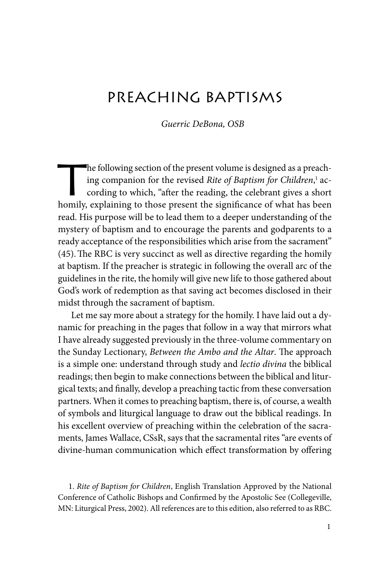# PRFACHING BAPTISMS

*Guerric DeBona, OSB*

The following section of the present volume is designed as a preach-<br>ing companion for the revised *Rite of Baptism for Children*,<sup>1</sup> ac-<br>cording to which, "after the reading, the celebrant gives a short<br>hamily symbolizing ing companion for the revised *Rite of Baptism for Children*,<sup>1</sup> according to which, "after the reading, the celebrant gives a short homily, explaining to those present the significance of what has been read. His purpose will be to lead them to a deeper understanding of the mystery of baptism and to encourage the parents and godparents to a ready acceptance of the responsibilities which arise from the sacrament" (45).The RBC is very succinct as well as directive regarding the homily at baptism. If the preacher is strategic in following the overall arc of the guidelines in the rite, the homily will give new life to those gathered about God's work of redemption as that saving act becomes disclosed in their midst through the sacrament of baptism.

Let me say more about a strategy for the homily. I have laid out a dynamic for preaching in the pages that follow in a way that mirrors what I have already suggested previously in the three-volume commentary on the Sunday Lectionary, *Between the Ambo and the Altar*. The approach is a simple one: understand through study and *lectio divina* the biblical readings; then begin to make connections between the biblical and liturgical texts; and finally, develop a preaching tactic from these conversation partners. When it comes to preaching baptism, there is, of course, a wealth of symbols and liturgical language to draw out the biblical readings. In his excellent overview of preaching within the celebration of the sacraments, James Wallace, CSsR, says that the sacramental rites "are events of divine-human communication which effect transformation by offering

1. *Rite of Baptism for Children*, English Translation Approved by the National Conference of Catholic Bishops and Confirmed by the Apostolic See (Collegeville, MN: Liturgical Press, 2002). All references are to this edition, also referred to as RBC.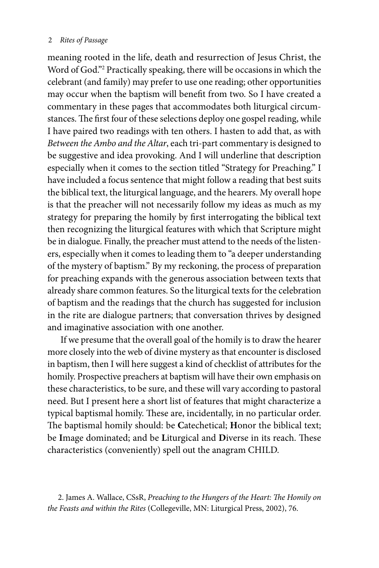meaning rooted in the life, death and resurrection of Jesus Christ, the Word of God."2 Practically speaking, there will be occasions in which the celebrant (and family) may prefer to use one reading; other opportunities may occur when the baptism will benefit from two. So I have created a commentary in these pages that accommodates both liturgical circumstances. The first four of these selections deploy one gospel reading, while I have paired two readings with ten others. I hasten to add that, as with *Between the Ambo and the Altar*, each tri-part commentary is designed to be suggestive and idea provoking. And I will underline that description especially when it comes to the section titled "Strategy for Preaching." I have included a focus sentence that might follow a reading that best suits the biblical text, the liturgical language, and the hearers. My overall hope is that the preacher will not necessarily follow my ideas as much as my strategy for preparing the homily by first interrogating the biblical text then recognizing the liturgical features with which that Scripture might be in dialogue. Finally, the preacher must attend to the needs of the listeners, especially when it comes to leading them to "a deeper understanding of the mystery of baptism." By my reckoning, the process of preparation for preaching expands with the generous association between texts that already share common features. So the liturgical texts for the celebration of baptism and the readings that the church has suggested for inclusion in the rite are dialogue partners; that conversation thrives by designed and imaginative association with one another.

If we presume that the overall goal of the homily is to draw the hearer more closely into the web of divine mystery as that encounter is disclosed in baptism, then I will here suggest a kind of checklist of attributes for the homily. Prospective preachers at baptism will have their own emphasis on these characteristics, to be sure, and these will vary according to pastoral need. But I present here a short list of features that might characterize a typical baptismal homily. These are, incidentally, in no particular order. The baptismal homily should: be **C**atechetical; **H**onor the biblical text; be **I**mage dominated; and be **L**iturgical and **D**iverse in its reach. These characteristics (conveniently) spell out the anagram CHILD.

<sup>2.</sup> James A. Wallace, CSsR, *Preaching to the Hungers of the Heart: The Homily on the Feasts and within the Rites* (Collegeville, MN: Liturgical Press, 2002), 76.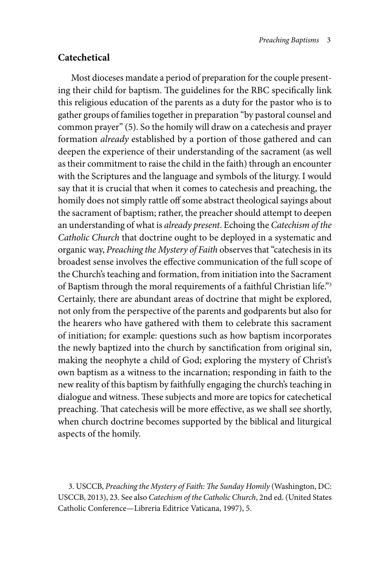## **Catechetical**

Most dioceses mandate a period of preparation for the couple presenting their child for baptism. The guidelines for the RBC specifically link this religious education of the parents as a duty for the pastor who is to gather groups of families together in preparation "by pastoral counsel and common prayer" (5). So the homily will draw on a catechesis and prayer formation *already* established by a portion of those gathered and can deepen the experience of their understanding of the sacrament (as well as their commitment to raise the child in the faith) through an encounter with the Scriptures and the language and symbols of the liturgy. I would say that it is crucial that when it comes to catechesis and preaching, the homily does not simply rattle off some abstract theological sayings about the sacrament of baptism; rather, the preacher should attempt to deepen an understanding of what is *already present*. Echoing the *Catechism of the Catholic Church* that doctrine ought to be deployed in a systematic and organic way, *Preaching the Mystery of Faith* observes that "catechesis in its broadest sense involves the effective communication of the full scope of the Church's teaching and formation, from initiation into the Sacrament of Baptism through the moral requirements of a faithful Christian life."3 Certainly, there are abundant areas of doctrine that might be explored, not only from the perspective of the parents and godparents but also for the hearers who have gathered with them to celebrate this sacrament of initiation; for example: questions such as how baptism incorporates the newly baptized into the church by sanctification from original sin, making the neophyte a child of God; exploring the mystery of Christ's own baptism as a witness to the incarnation; responding in faith to the new reality of this baptism by faithfully engaging the church's teaching in dialogue and witness. These subjects and more are topics for catechetical preaching. That catechesis will be more effective, as we shall see shortly, when church doctrine becomes supported by the biblical and liturgical aspects of the homily.

3. USCCB, *Preaching the Mystery of Faith: The Sunday Homily* (Washington, DC: USCCB, 2013), 23. See also *Catechism of the Catholic Church*, 2nd ed. (United States Catholic Conference—Libreria Editrice Vaticana, 1997), 5.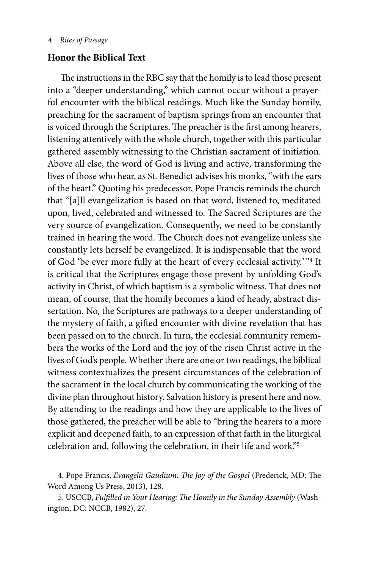#### 4 *Rites of Passage*

### **Honor the Biblical Text**

The instructions in the RBC say that the homily is to lead those present into a "deeper understanding," which cannot occur without a prayerful encounter with the biblical readings. Much like the Sunday homily, preaching for the sacrament of baptism springs from an encounter that is voiced through the Scriptures. The preacher is the first among hearers, listening attentively with the whole church, together with this particular gathered assembly witnessing to the Christian sacrament of initiation. Above all else, the word of God is living and active, transforming the lives of those who hear, as St. Benedict advises his monks, "with the ears of the heart." Quoting his predecessor, Pope Francis reminds the church that "[a]ll evangelization is based on that word, listened to, meditated upon, lived, celebrated and witnessed to. The Sacred Scriptures are the very source of evangelization. Consequently, we need to be constantly trained in hearing the word. The Church does not evangelize unless she constantly lets herself be evangelized. It is indispensable that the word of God 'be ever more fully at the heart of every ecclesial activity.' "4 It is critical that the Scriptures engage those present by unfolding God's activity in Christ, of which baptism is a symbolic witness. That does not mean, of course, that the homily becomes a kind of heady, abstract dissertation. No, the Scriptures are pathways to a deeper understanding of the mystery of faith, a gifted encounter with divine revelation that has been passed on to the church. In turn, the ecclesial community remembers the works of the Lord and the joy of the risen Christ active in the lives of God's people. Whether there are one or two readings, the biblical witness contextualizes the present circumstances of the celebration of the sacrament in the local church by communicating the working of the divine plan throughout history. Salvation history is present here and now. By attending to the readings and how they are applicable to the lives of those gathered, the preacher will be able to "bring the hearers to a more explicit and deepened faith, to an expression of that faith in the liturgical celebration and, following the celebration, in their life and work."5

4. Pope Francis, *Evangelii Gaudium: The Joy of the Gospel* (Frederick, MD: The Word Among Us Press, 2013), 128.

5. USCCB, *Fulfilled in Your Hearing: The Homily in the Sunday Assembly* (Washington, DC: NCCB, 1982), 27.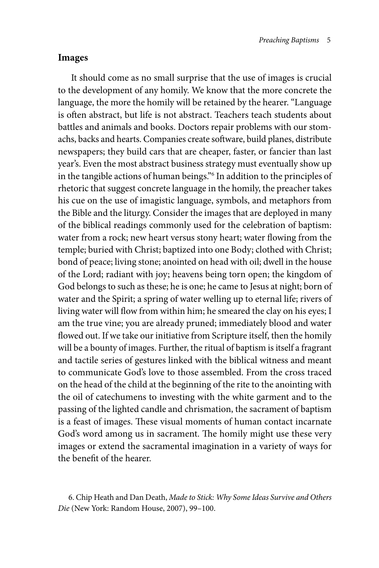#### **Images**

It should come as no small surprise that the use of images is crucial to the development of any homily. We know that the more concrete the language, the more the homily will be retained by the hearer. "Language is often abstract, but life is not abstract. Teachers teach students about battles and animals and books. Doctors repair problems with our stomachs, backs and hearts. Companies create software, build planes, distribute newspapers; they build cars that are cheaper, faster, or fancier than last year's. Even the most abstract business strategy must eventually show up in the tangible actions of human beings."6 In addition to the principles of rhetoric that suggest concrete language in the homily, the preacher takes his cue on the use of imagistic language, symbols, and metaphors from the Bible and the liturgy. Consider the images that are deployed in many of the biblical readings commonly used for the celebration of baptism: water from a rock; new heart versus stony heart; water flowing from the temple; buried with Christ; baptized into one Body; clothed with Christ; bond of peace; living stone; anointed on head with oil; dwell in the house of the Lord; radiant with joy; heavens being torn open; the kingdom of God belongs to such as these; he is one; he came to Jesus at night; born of water and the Spirit; a spring of water welling up to eternal life; rivers of living water will flow from within him; he smeared the clay on his eyes; I am the true vine; you are already pruned; immediately blood and water flowed out. If we take our initiative from Scripture itself, then the homily will be a bounty of images. Further, the ritual of baptism is itself a fragrant and tactile series of gestures linked with the biblical witness and meant to communicate God's love to those assembled. From the cross traced on the head of the child at the beginning of the rite to the anointing with the oil of catechumens to investing with the white garment and to the passing of the lighted candle and chrismation, the sacrament of baptism is a feast of images. These visual moments of human contact incarnate God's word among us in sacrament. The homily might use these very images or extend the sacramental imagination in a variety of ways for the benefit of the hearer.

<sup>6.</sup> Chip Heath and Dan Death, *Made to Stick: Why Some Ideas Survive and Others Die* (New York: Random House, 2007), 99–100.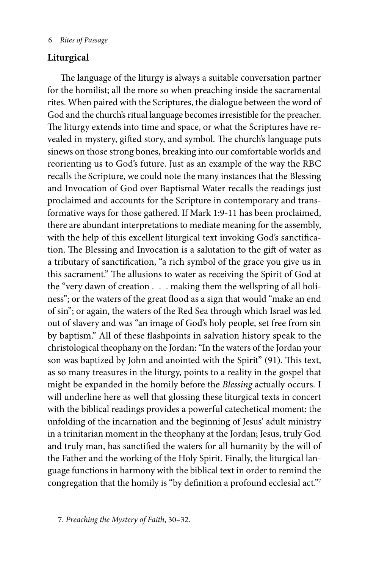#### 6 *Rites of Passage*

# **Liturgical**

The language of the liturgy is always a suitable conversation partner for the homilist; all the more so when preaching inside the sacramental rites. When paired with the Scriptures, the dialogue between the word of God and the church's ritual language becomes irresistible for the preacher. The liturgy extends into time and space, or what the Scriptures have revealed in mystery, gifted story, and symbol. The church's language puts sinews on those strong bones, breaking into our comfortable worlds and reorienting us to God's future. Just as an example of the way the RBC recalls the Scripture, we could note the many instances that the Blessing and Invocation of God over Baptismal Water recalls the readings just proclaimed and accounts for the Scripture in contemporary and transformative ways for those gathered. If Mark 1:9-11 has been proclaimed, there are abundant interpretations to mediate meaning for the assembly, with the help of this excellent liturgical text invoking God's sanctification. The Blessing and Invocation is a salutation to the gift of water as a tributary of sanctification, "a rich symbol of the grace you give us in this sacrament." The allusions to water as receiving the Spirit of God at the "very dawn of creation . . . making them the wellspring of all holiness"; or the waters of the great flood as a sign that would "make an end of sin"; or again, the waters of the Red Sea through which Israel was led out of slavery and was "an image of God's holy people, set free from sin by baptism." All of these flashpoints in salvation history speak to the christological theophany on the Jordan: "In the waters of the Jordan your son was baptized by John and anointed with the Spirit" (91). This text, as so many treasures in the liturgy, points to a reality in the gospel that might be expanded in the homily before the *Blessing* actually occurs. I will underline here as well that glossing these liturgical texts in concert with the biblical readings provides a powerful catechetical moment: the unfolding of the incarnation and the beginning of Jesus' adult ministry in a trinitarian moment in the theophany at the Jordan; Jesus, truly God and truly man, has sanctified the waters for all humanity by the will of the Father and the working of the Holy Spirit. Finally, the liturgical language functions in harmony with the biblical text in order to remind the congregation that the homily is "by definition a profound ecclesial act."7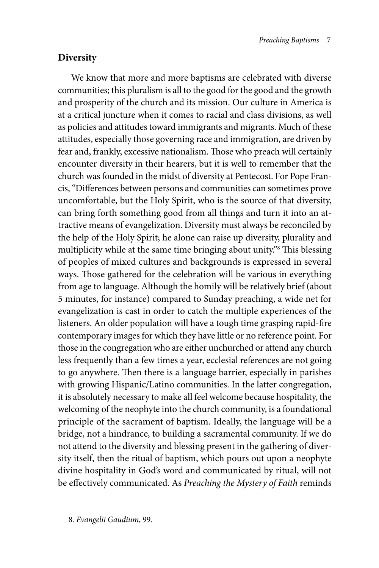#### **Diversity**

We know that more and more baptisms are celebrated with diverse communities; this pluralism is all to the good for the good and the growth and prosperity of the church and its mission. Our culture in America is at a critical juncture when it comes to racial and class divisions, as well as policies and attitudes toward immigrants and migrants. Much of these attitudes, especially those governing race and immigration, are driven by fear and, frankly, excessive nationalism. Those who preach will certainly encounter diversity in their hearers, but it is well to remember that the church was founded in the midst of diversity at Pentecost. For Pope Francis, "Differences between persons and communities can sometimes prove uncomfortable, but the Holy Spirit, who is the source of that diversity, can bring forth something good from all things and turn it into an attractive means of evangelization. Diversity must always be reconciled by the help of the Holy Spirit; he alone can raise up diversity, plurality and multiplicity while at the same time bringing about unity."8 This blessing of peoples of mixed cultures and backgrounds is expressed in several ways. Those gathered for the celebration will be various in everything from age to language. Although the homily will be relatively brief (about 5 minutes, for instance) compared to Sunday preaching, a wide net for evangelization is cast in order to catch the multiple experiences of the listeners. An older population will have a tough time grasping rapid-fire contemporary images for which they have little or no reference point. For those in the congregation who are either unchurched or attend any church less frequently than a few times a year, ecclesial references are not going to go anywhere. Then there is a language barrier, especially in parishes with growing Hispanic/Latino communities. In the latter congregation, it is absolutely necessary to make all feel welcome because hospitality, the welcoming of the neophyte into the church community, is a foundational principle of the sacrament of baptism. Ideally, the language will be a bridge, not a hindrance, to building a sacramental community. If we do not attend to the diversity and blessing present in the gathering of diversity itself, then the ritual of baptism, which pours out upon a neophyte divine hospitality in God's word and communicated by ritual, will not be effectively communicated. As *Preaching the Mystery of Faith* reminds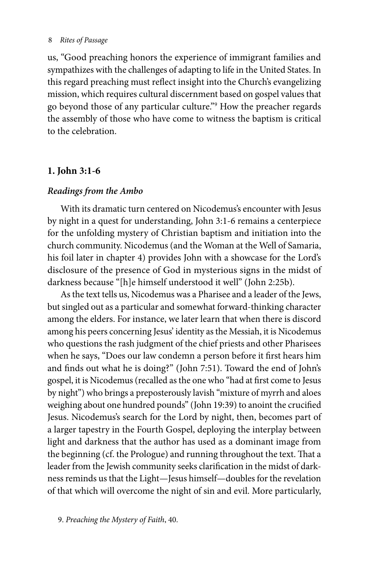#### 8 *Rites of Passage*

us, "Good preaching honors the experience of immigrant families and sympathizes with the challenges of adapting to life in the United States. In this regard preaching must reflect insight into the Church's evangelizing mission, which requires cultural discernment based on gospel values that go beyond those of any particular culture."9 How the preacher regards the assembly of those who have come to witness the baptism is critical to the celebration.

# **1. John 3:1-6**

# *Readings from the Ambo*

With its dramatic turn centered on Nicodemus's encounter with Jesus by night in a quest for understanding, John 3:1-6 remains a centerpiece for the unfolding mystery of Christian baptism and initiation into the church community. Nicodemus (and the Woman at the Well of Samaria, his foil later in chapter 4) provides John with a showcase for the Lord's disclosure of the presence of God in mysterious signs in the midst of darkness because "[h]e himself understood it well" (John 2:25b).

As the text tells us, Nicodemus was a Pharisee and a leader of the Jews, but singled out as a particular and somewhat forward-thinking character among the elders. For instance, we later learn that when there is discord among his peers concerning Jesus' identity as the Messiah, it is Nicodemus who questions the rash judgment of the chief priests and other Pharisees when he says, "Does our law condemn a person before it first hears him and finds out what he is doing?" (John 7:51). Toward the end of John's gospel, it is Nicodemus (recalled as the one who "had at first come to Jesus by night") who brings a preposterously lavish "mixture of myrrh and aloes weighing about one hundred pounds" (John 19:39) to anoint the crucified Jesus. Nicodemus's search for the Lord by night, then, becomes part of a larger tapestry in the Fourth Gospel, deploying the interplay between light and darkness that the author has used as a dominant image from the beginning (cf. the Prologue) and running throughout the text. That a leader from the Jewish community seeks clarification in the midst of darkness reminds us that the Light—Jesus himself—doubles for the revelation of that which will overcome the night of sin and evil. More particularly,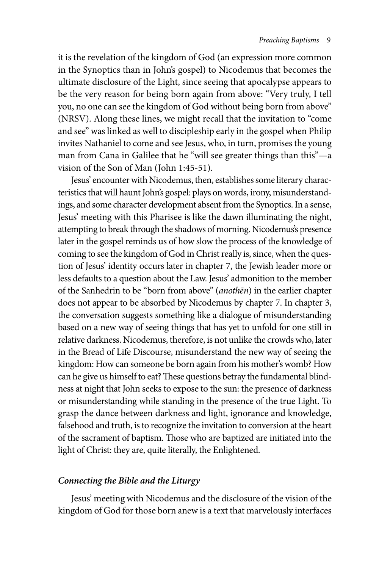it is the revelation of the kingdom of God (an expression more common in the Synoptics than in John's gospel) to Nicodemus that becomes the ultimate disclosure of the Light, since seeing that apocalypse appears to be the very reason for being born again from above: "Very truly, I tell you, no one can see the kingdom of God without being born from above" (NRSV). Along these lines, we might recall that the invitation to "come and see" was linked as well to discipleship early in the gospel when Philip invites Nathaniel to come and see Jesus, who, in turn, promises the young man from Cana in Galilee that he "will see greater things than this"—a vision of the Son of Man (John 1:45-51).

Jesus' encounter with Nicodemus, then, establishes some literary characteristics that will haunt John's gospel: plays on words, irony, misunderstandings, and some character development absent from the Synoptics. In a sense, Jesus' meeting with this Pharisee is like the dawn illuminating the night, attempting to break through the shadows of morning. Nicodemus's presence later in the gospel reminds us of how slow the process of the knowledge of coming to see the kingdom of God in Christ really is, since, when the question of Jesus' identity occurs later in chapter 7, the Jewish leader more or less defaults to a question about the Law. Jesus' admonition to the member of the Sanhedrin to be "born from above" (*anothēn*) in the earlier chapter does not appear to be absorbed by Nicodemus by chapter 7. In chapter 3, the conversation suggests something like a dialogue of misunderstanding based on a new way of seeing things that has yet to unfold for one still in relative darkness. Nicodemus, therefore, is not unlike the crowds who, later in the Bread of Life Discourse, misunderstand the new way of seeing the kingdom: How can someone be born again from his mother's womb? How can he give us himself to eat? These questions betray the fundamental blindness at night that John seeks to expose to the sun: the presence of darkness or misunderstanding while standing in the presence of the true Light. To grasp the dance between darkness and light, ignorance and knowledge, falsehood and truth, is to recognize the invitation to conversion at the heart of the sacrament of baptism. Those who are baptized are initiated into the light of Christ: they are, quite literally, the Enlightened.

### *Connecting the Bible and the Liturgy*

Jesus' meeting with Nicodemus and the disclosure of the vision of the kingdom of God for those born anew is a text that marvelously interfaces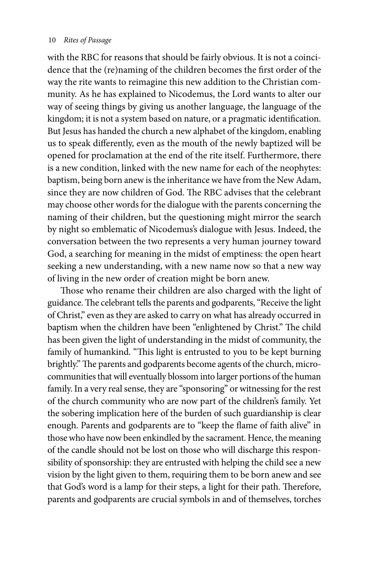with the RBC for reasons that should be fairly obvious. It is not a coincidence that the (re)naming of the children becomes the first order of the way the rite wants to reimagine this new addition to the Christian community. As he has explained to Nicodemus, the Lord wants to alter our way of seeing things by giving us another language, the language of the kingdom; it is not a system based on nature, or a pragmatic identification. But Jesus has handed the church a new alphabet of the kingdom, enabling us to speak differently, even as the mouth of the newly baptized will be opened for proclamation at the end of the rite itself. Furthermore, there is a new condition, linked with the new name for each of the neophytes: baptism, being born anew is the inheritance we have from the New Adam, since they are now children of God. The RBC advises that the celebrant may choose other words for the dialogue with the parents concerning the naming of their children, but the questioning might mirror the search by night so emblematic of Nicodemus's dialogue with Jesus. Indeed, the conversation between the two represents a very human journey toward God, a searching for meaning in the midst of emptiness: the open heart seeking a new understanding, with a new name now so that a new way of living in the new order of creation might be born anew.

Those who rename their children are also charged with the light of guidance. The celebrant tells the parents and godparents, "Receive the light of Christ," even as they are asked to carry on what has already occurred in baptism when the children have been "enlightened by Christ." The child has been given the light of understanding in the midst of community, the family of humankind. "This light is entrusted to you to be kept burning brightly." The parents and godparents become agents of the church, microcommunities that will eventually blossom into larger portions of the human family. In a very real sense, they are "sponsoring" or witnessing for the rest of the church community who are now part of the children's family. Yet the sobering implication here of the burden of such guardianship is clear enough. Parents and godparents are to "keep the flame of faith alive" in those who have now been enkindled by the sacrament. Hence, the meaning of the candle should not be lost on those who will discharge this responsibility of sponsorship: they are entrusted with helping the child see a new vision by the light given to them, requiring them to be born anew and see that God's word is a lamp for their steps, a light for their path. Therefore, parents and godparents are crucial symbols in and of themselves, torches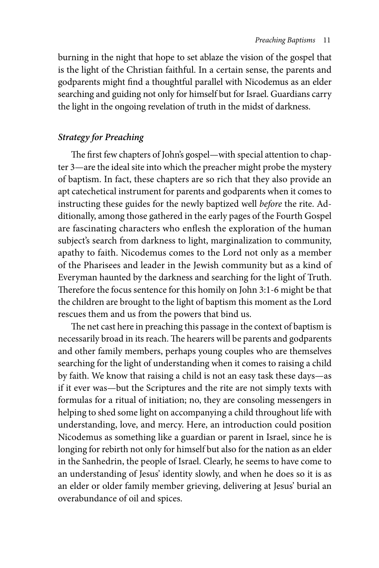burning in the night that hope to set ablaze the vision of the gospel that is the light of the Christian faithful. In a certain sense, the parents and godparents might find a thoughtful parallel with Nicodemus as an elder searching and guiding not only for himself but for Israel. Guardians carry the light in the ongoing revelation of truth in the midst of darkness.

# *Strategy for Preaching*

The first few chapters of John's gospel—with special attention to chapter 3—are the ideal site into which the preacher might probe the mystery of baptism. In fact, these chapters are so rich that they also provide an apt catechetical instrument for parents and godparents when it comes to instructing these guides for the newly baptized well *before* the rite. Additionally, among those gathered in the early pages of the Fourth Gospel are fascinating characters who enflesh the exploration of the human subject's search from darkness to light, marginalization to community, apathy to faith. Nicodemus comes to the Lord not only as a member of the Pharisees and leader in the Jewish community but as a kind of Everyman haunted by the darkness and searching for the light of Truth. Therefore the focus sentence for this homily on John 3:1-6 might be that the children are brought to the light of baptism this moment as the Lord rescues them and us from the powers that bind us.

The net cast here in preaching this passage in the context of baptism is necessarily broad in its reach. The hearers will be parents and godparents and other family members, perhaps young couples who are themselves searching for the light of understanding when it comes to raising a child by faith. We know that raising a child is not an easy task these days—as if it ever was—but the Scriptures and the rite are not simply texts with formulas for a ritual of initiation; no, they are consoling messengers in helping to shed some light on accompanying a child throughout life with understanding, love, and mercy. Here, an introduction could position Nicodemus as something like a guardian or parent in Israel, since he is longing for rebirth not only for himself but also for the nation as an elder in the Sanhedrin, the people of Israel. Clearly, he seems to have come to an understanding of Jesus' identity slowly, and when he does so it is as an elder or older family member grieving, delivering at Jesus' burial an overabundance of oil and spices.